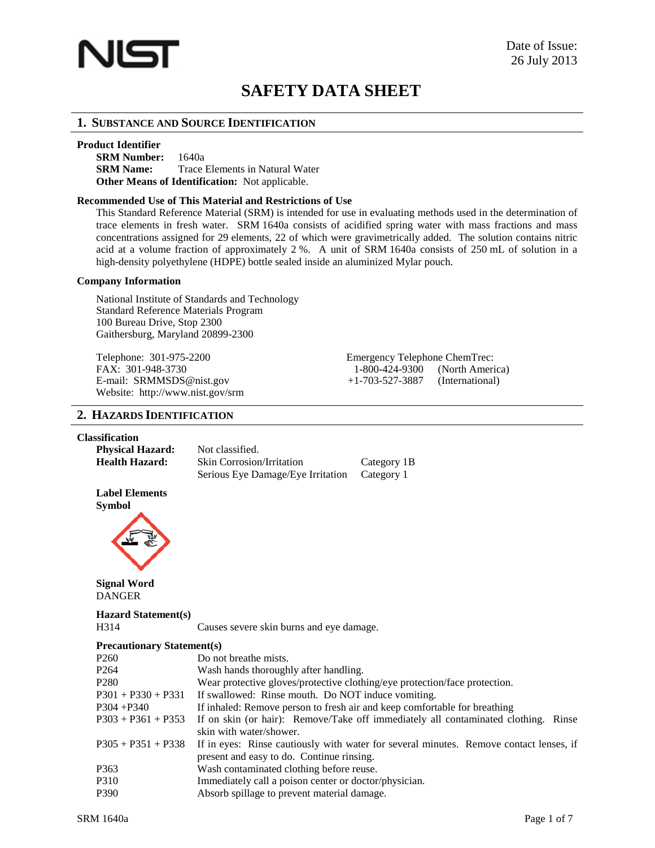

# **SAFETY DATA SHEET**

# **1. SUBSTANCE AND SOURCE IDENTIFICATION**

### **Product Identifier**

**SRM Number:** 1640a **SRM Name:** Trace Elements in Natural Water **Other Means of Identification:** Not applicable.

### **Recommended Use of This Material and Restrictions of Use**

This Standard Reference Material (SRM) is intended for use in evaluating methods used in the determination of trace elements in fresh water. SRM 1640a consists of acidified spring water with mass fractions and mass concentrations assigned for 29 elements, 22 of which were gravimetrically added. The solution contains nitric acid at a volume fraction of approximately 2 %. A unit of SRM 1640a consists of 250 mL of solution in a high-density polyethylene (HDPE) bottle sealed inside an aluminized Mylar pouch.

### **Company Information**

National Institute of Standards and Technology Standard Reference Materials Program 100 Bureau Drive, Stop 2300 Gaithersburg, Maryland 20899-2300

FAX: 301-948-3730 1-800-424-9300 Website: <http://www.nist.gov/srm>

Telephone: 301-975-2200 Emergency Telephone ChemTrec:<br>FAX: 301-948-3730 1-800-424-9300 (North America) E-mail: [SRMMSDS@nist.gov](mailto:SRMMSDS@nist.gov) +1-703-527-3887 (International)

# **2. HAZARDS IDENTIFICATION**

### **Classification**

| <b>Physical Hazard:</b><br><b>Health Hazard:</b> | Not classified.<br><b>Skin Corrosion/Irritation</b><br>Serious Eye Damage/Eye Irritation | Category 1B<br>Category 1                                                              |
|--------------------------------------------------|------------------------------------------------------------------------------------------|----------------------------------------------------------------------------------------|
| <b>Label Elements</b><br><b>Symbol</b>           |                                                                                          |                                                                                        |
| <b>Signal Word</b><br><b>DANGER</b>              |                                                                                          |                                                                                        |
| <b>Hazard Statement(s)</b>                       |                                                                                          |                                                                                        |
| H314                                             | Causes severe skin burns and eye damage.                                                 |                                                                                        |
| <b>Precautionary Statement(s)</b>                |                                                                                          |                                                                                        |
| P <sub>260</sub>                                 | Do not breathe mists.                                                                    |                                                                                        |
| P <sub>264</sub>                                 | Wash hands thoroughly after handling.                                                    |                                                                                        |
| P <sub>280</sub>                                 |                                                                                          | Wear protective gloves/protective clothing/eye protection/face protection.             |
| $P301 + P330 + P331$                             | If swallowed: Rinse mouth. Do NOT induce vomiting.                                       |                                                                                        |
| $P304 + P340$                                    | If inhaled: Remove person to fresh air and keep comfortable for breathing                |                                                                                        |
| $P303 + P361 + P353$                             | skin with water/shower.                                                                  | If on skin (or hair): Remove/Take off immediately all contaminated clothing. Rinse     |
| $P305 + P351 + P338$                             | present and easy to do. Continue rinsing.                                                | If in eyes: Rinse cautiously with water for several minutes. Remove contact lenses, if |
| P363                                             | Wash contaminated clothing before reuse.                                                 |                                                                                        |
| P310                                             | Immediately call a poison center or doctor/physician.                                    |                                                                                        |
| P390                                             | Absorb spillage to prevent material damage.                                              |                                                                                        |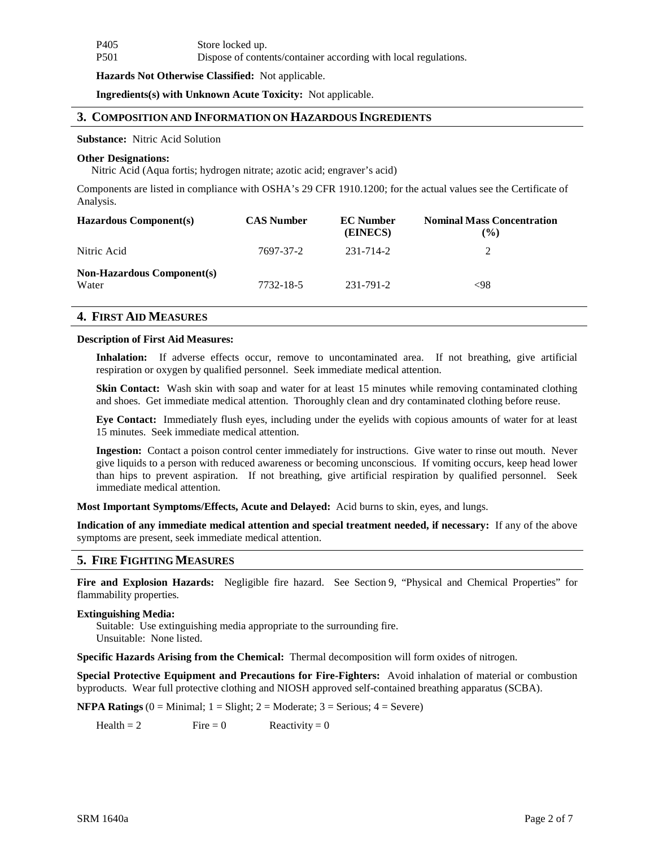| P <sub>405</sub> | Store locked up.                                                |
|------------------|-----------------------------------------------------------------|
| <b>P501</b>      | Dispose of contents/container according with local regulations. |

**Hazards Not Otherwise Classified:** Not applicable.

**Ingredients(s) with Unknown Acute Toxicity:** Not applicable.

### **3. COMPOSITION AND INFORMATION ON HAZARDOUS INGREDIENTS**

**Substance:** Nitric Acid Solution

#### **Other Designations:**

Nitric Acid (Aqua fortis; hydrogen nitrate; azotic acid; engraver's acid)

Components are listed in compliance with OSHA's 29 CFR 1910.1200; for the actual values see the Certificate of Analysis.

| <b>Hazardous Component(s)</b>              | <b>CAS Number</b> | <b>EC</b> Number<br>(EINECS) | <b>Nominal Mass Concentration</b><br>$\frac{9}{6}$ |
|--------------------------------------------|-------------------|------------------------------|----------------------------------------------------|
| Nitric Acid                                | 7697-37-2         | 231-714-2                    | 2                                                  |
| <b>Non-Hazardous Component(s)</b><br>Water | 7732-18-5         | 231-791-2                    | <98                                                |

# **4. FIRST AID MEASURES**

### **Description of First Aid Measures:**

Inhalation: If adverse effects occur, remove to uncontaminated area. If not breathing, give artificial respiration or oxygen by qualified personnel. Seek immediate medical attention.

**Skin Contact:** Wash skin with soap and water for at least 15 minutes while removing contaminated clothing and shoes. Get immediate medical attention. Thoroughly clean and dry contaminated clothing before reuse.

**Eye Contact:** Immediately flush eyes, including under the eyelids with copious amounts of water for at least 15 minutes. Seek immediate medical attention.

**Ingestion:** Contact a poison control center immediately for instructions. Give water to rinse out mouth. Never give liquids to a person with reduced awareness or becoming unconscious. If vomiting occurs, keep head lower than hips to prevent aspiration. If not breathing, give artificial respiration by qualified personnel. Seek immediate medical attention.

**Most Important Symptoms/Effects, Acute and Delayed:** Acid burns to skin, eyes, and lungs.

**Indication of any immediate medical attention and special treatment needed, if necessary:** If any of the above symptoms are present, seek immediate medical attention.

# **5. FIRE FIGHTINGMEASURES**

**Fire and Explosion Hazards:** Negligible fire hazard. See Section 9, "Physical and Chemical Properties" for flammability properties.

#### **Extinguishing Media:**

Suitable: Use extinguishing media appropriate to the surrounding fire. Unsuitable: None listed.

**Specific Hazards Arising from the Chemical:** Thermal decomposition will form oxides of nitrogen.

**Special Protective Equipment and Precautions for Fire-Fighters:** Avoid inhalation of material or combustion byproducts. Wear full protective clothing and NIOSH approved self-contained breathing apparatus (SCBA).

**NFPA** Ratings  $(0 = \text{Minimal}; 1 = \text{Slight}; 2 = \text{Modern}; 3 = \text{Serious}; 4 = \text{Severe})$ 

Health = 2 Fire = 0 Reactivity = 0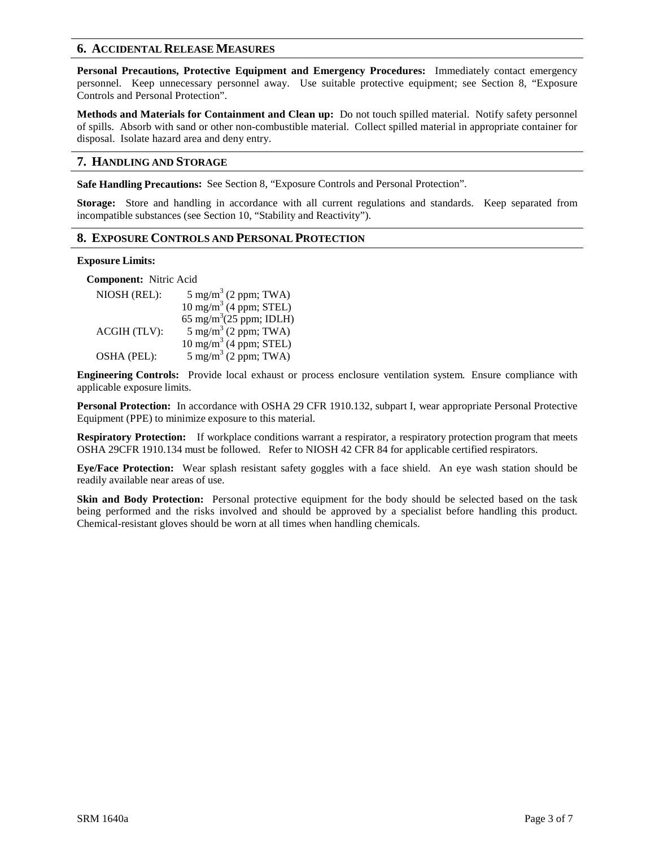# **6. ACCIDENTAL RELEASE MEASURES**

**Personal Precautions, Protective Equipment and Emergency Procedures:** Immediately contact emergency personnel. Keep unnecessary personnel away. Use suitable protective equipment; see Section 8, "Exposure Controls and Personal Protection".

**Methods and Materials for Containment and Clean up:** Do not touch spilled material. Notify safety personnel of spills. Absorb with sand or other non-combustible material. Collect spilled material in appropriate container for disposal. Isolate hazard area and deny entry.

# **7. HANDLING AND STORAGE**

**Safe Handling Precautions:** See Section 8, "Exposure Controls and Personal Protection".

**Storage:** Store and handling in accordance with all current regulations and standards. Keep separated from incompatible substances (see Section 10, "Stability and Reactivity").

# **8. EXPOSURE CONTROLS AND PERSONAL PROTECTION**

### **Exposure Limits:**

**Component:** Nitric Acid

| NIOSH (REL): | $5 \text{ mg/m}^3$ (2 ppm; TWA)     |
|--------------|-------------------------------------|
|              | $10 \text{ mg/m}^3$ (4 ppm; STEL)   |
|              | 65 mg/m <sup>3</sup> (25 ppm; IDLH) |
| ACGIH (TLV): | $5 \text{ mg/m}^3$ (2 ppm; TWA)     |
|              | $10 \text{ mg/m}^3$ (4 ppm; STEL)   |
| OSHA (PEL):  | $5 \text{ mg/m}^3$ (2 ppm; TWA)     |

**Engineering Controls:** Provide local exhaust or process enclosure ventilation system. Ensure compliance with applicable exposure limits.

**Personal Protection:** In accordance with OSHA 29 CFR 1910.132, subpart I, wear appropriate Personal Protective Equipment (PPE) to minimize exposure to this material.

**Respiratory Protection:** If workplace conditions warrant a respirator, a respiratory protection program that meets OSHA 29CFR 1910.134 must be followed. Refer to NIOSH 42 CFR 84 for applicable certified respirators.

**Eye/Face Protection:** Wear splash resistant safety goggles with a face shield. An eye wash station should be readily available near areas of use.

**Skin and Body Protection:** Personal protective equipment for the body should be selected based on the task being performed and the risks involved and should be approved by a specialist before handling this product. Chemical-resistant gloves should be worn at all times when handling chemicals.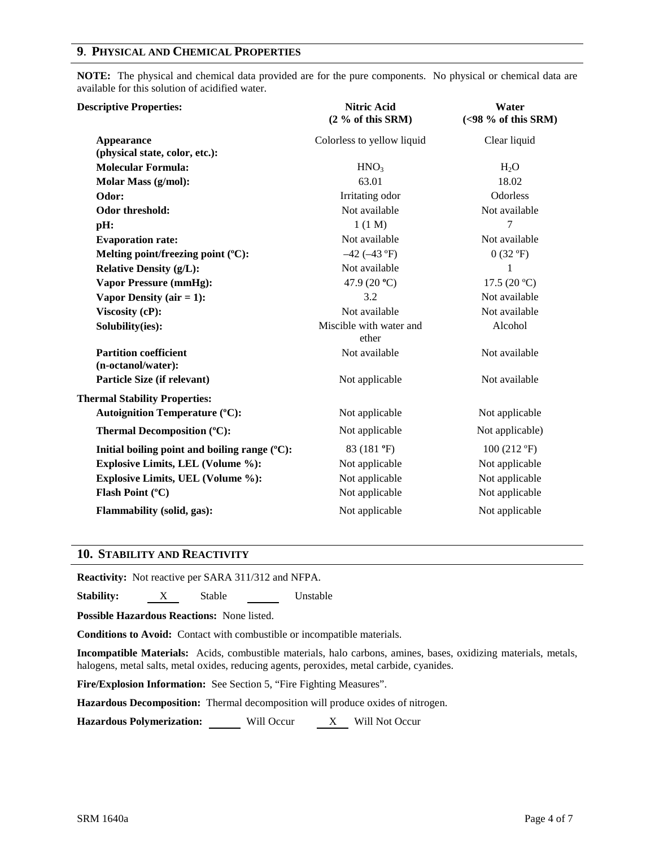# **9**. **PHYSICAL AND CHEMICAL PROPERTIES**

**NOTE:** The physical and chemical data provided are for the pure components. No physical or chemical data are available for this solution of acidified water.

| <b>Descriptive Properties:</b>                      | <b>Nitric Acid</b><br>$(2\%$ of this SRM) | Water<br>$(<98$ % of this SRM) |
|-----------------------------------------------------|-------------------------------------------|--------------------------------|
| <b>Appearance</b><br>(physical state, color, etc.): | Colorless to yellow liquid                | Clear liquid                   |
| <b>Molecular Formula:</b>                           | HNO <sub>3</sub>                          | $H_2O$                         |
| Molar Mass (g/mol):                                 | 63.01                                     | 18.02                          |
| Odor:                                               | Irritating odor                           | Odorless                       |
| Odor threshold:                                     | Not available                             | Not available                  |
| pH:                                                 | 1(1 M)                                    | 7                              |
| <b>Evaporation rate:</b>                            | Not available                             | Not available                  |
| Melting point/freezing point (°C):                  | $-42$ ( $-43$ °F)                         | 0(32 °F)                       |
| <b>Relative Density (g/L):</b>                      | Not available                             | 1                              |
| <b>Vapor Pressure (mmHg):</b>                       | 47.9 (20 $^{\circ}$ C)                    | 17.5 $(20 °C)$                 |
| Vapor Density (air $= 1$ ):                         | 3.2                                       | Not available                  |
| Viscosity (cP):                                     | Not available                             | Not available                  |
| Solubility(ies):                                    | Miscible with water and<br>ether          | Alcohol                        |
| <b>Partition coefficient</b><br>(n-octanol/water):  | Not available                             | Not available                  |
| Particle Size (if relevant)                         | Not applicable                            | Not available                  |
| <b>Thermal Stability Properties:</b>                |                                           |                                |
| <b>Autoignition Temperature (°C):</b>               | Not applicable                            | Not applicable                 |
| Thermal Decomposition (°C):                         | Not applicable                            | Not applicable)                |
| Initial boiling point and boiling range (°C):       | 83 (181 °F)                               | $100(212 \text{ °F})$          |
| <b>Explosive Limits, LEL (Volume %):</b>            | Not applicable                            | Not applicable                 |
| Explosive Limits, UEL (Volume %):                   | Not applicable                            | Not applicable                 |
| Flash Point (°C)                                    | Not applicable                            | Not applicable                 |
| Flammability (solid, gas):                          | Not applicable                            | Not applicable                 |

# **10. STABILITY AND REACTIVITY**

**Reactivity:** Not reactive per SARA 311/312 and NFPA.

**Stability:** X Stable Unstable

**Possible Hazardous Reactions:** None listed.

**Conditions to Avoid:** Contact with combustible or incompatible materials.

**Incompatible Materials:** Acids, combustible materials, halo carbons, amines, bases, oxidizing materials, metals, halogens, metal salts, metal oxides, reducing agents, peroxides, metal carbide, cyanides.

**Fire/Explosion Information:** See Section 5, "Fire Fighting Measures".

**Hazardous Decomposition:** Thermal decomposition will produce oxides of nitrogen.

**Hazardous Polymerization:** Will Occur X Will Not Occur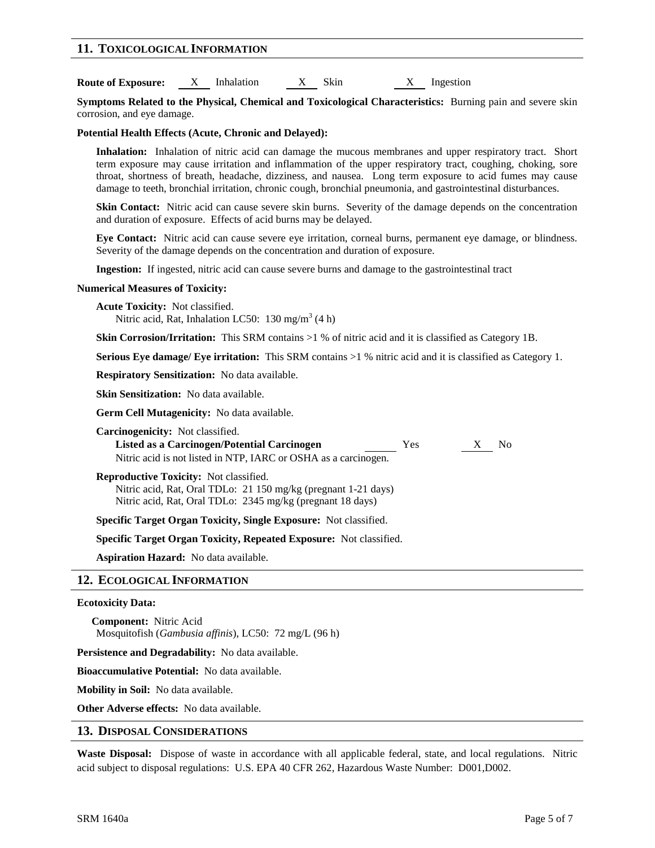### **11. TOXICOLOGICAL INFORMATION**

**Route of Exposure:** X Inhalation X Skin X Ingestion

**Symptoms Related to the Physical, Chemical and Toxicological Characteristics:** Burning pain and severe skin corrosion, and eye damage.

**Potential Health Effects (Acute, Chronic and Delayed):**

**Inhalation:** Inhalation of nitric acid can damage the mucous membranes and upper respiratory tract. Short term exposure may cause irritation and inflammation of the upper respiratory tract, coughing, choking, sore throat, shortness of breath, headache, dizziness, and nausea. Long term exposure to acid fumes may cause damage to teeth, bronchial irritation, chronic cough, bronchial pneumonia, and gastrointestinal disturbances.

**Skin Contact:** Nitric acid can cause severe skin burns. Severity of the damage depends on the concentration and duration of exposure. Effects of acid burns may be delayed.

**Eye Contact:** Nitric acid can cause severe eye irritation, corneal burns, permanent eye damage, or blindness. Severity of the damage depends on the concentration and duration of exposure.

**Ingestion:** If ingested, nitric acid can cause severe burns and damage to the gastrointestinal tract

### **Numerical Measures of Toxicity:**

**Acute Toxicity:** Not classified.

Nitric acid, Rat, Inhalation LC50: 130 mg/m<sup>3</sup> (4 h)

**Skin Corrosion/Irritation:** This SRM contains >1 % of nitric acid and it is classified as Category 1B.

**Serious Eye damage/ Eye irritation:** This SRM contains >1 % nitric acid and it is classified as Category 1.

**Respiratory Sensitization:** No data available.

**Skin Sensitization:** No data available.

**Germ Cell Mutagenicity:** No data available.

| <b>Carcinogenicity:</b> Not classified.                         |     |     |
|-----------------------------------------------------------------|-----|-----|
| Listed as a Carcinogen/Potential Carcinogen                     | Yes | No. |
| Nitric acid is not listed in NTP, IARC or OSHA as a carcinogen. |     |     |

**Reproductive Toxicity:** Not classified. Nitric acid, Rat, Oral TDLo: 21 150 mg/kg (pregnant 1-21 days) Nitric acid, Rat, Oral TDLo: 2345 mg/kg (pregnant 18 days)

**Specific Target Organ Toxicity, Single Exposure:** Not classified.

**Specific Target Organ Toxicity, Repeated Exposure:** Not classified.

**Aspiration Hazard:** No data available.

### **12. ECOLOGICAL INFORMATION**

### **Ecotoxicity Data:**

**Component:** Nitric Acid Mosquitofish (*Gambusia affinis*), LC50: 72 mg/L (96 h)

**Persistence and Degradability:** No data available.

**Bioaccumulative Potential:** No data available.

**Mobility in Soil:** No data available.

**Other Adverse effects:** No data available.

### **13. DISPOSAL CONSIDERATIONS**

**Waste Disposal:** Dispose of waste in accordance with all applicable federal, state, and local regulations. Nitric acid subject to disposal regulations: U.S. EPA 40 CFR 262, Hazardous Waste Number: D001,D002.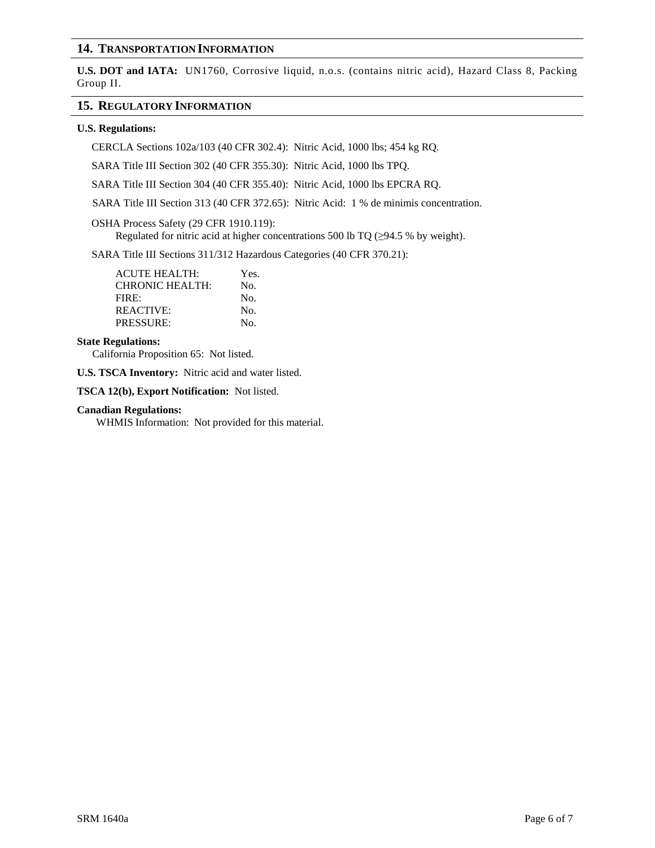# **14. TRANSPORTATION INFORMATION**

**U.S. DOT and IATA:** UN1760, Corrosive liquid, n.o.s. (contains nitric acid), Hazard Class 8, Packing Group II.

### **15. REGULATORY INFORMATION**

### **U.S. Regulations:**

CERCLA Sections 102a/103 (40 CFR 302.4): Nitric Acid, 1000 lbs; 454 kg RQ.

SARA Title III Section 302 (40 CFR 355.30): Nitric Acid, 1000 lbs TPQ.

SARA Title III Section 304 (40 CFR 355.40): Nitric Acid, 1000 lbs EPCRA RQ.

SARA Title III Section 313 (40 CFR 372.65): Nitric Acid: 1 % de minimis concentration.

### OSHA Process Safety (29 CFR 1910.119):

Regulated for nitric acid at higher concentrations 500 lb TQ ( $\geq$ 94.5 % by weight).

SARA Title III Sections 311/312 Hazardous Categories (40 CFR 370.21):

| <b>ACUTE HEALTH:</b>   | Yes. |
|------------------------|------|
| <b>CHRONIC HEALTH:</b> | No.  |
| FIRE:                  | No.  |
| REACTIVE:              | No.  |
| PRESSURE:              | No.  |

### **State Regulations:**

California Proposition 65: Not listed.

**U.S. TSCA Inventory:** Nitric acid and water listed.

**TSCA 12(b), Export Notification:** Not listed.

### **Canadian Regulations:**

WHMIS Information: Not provided for this material.